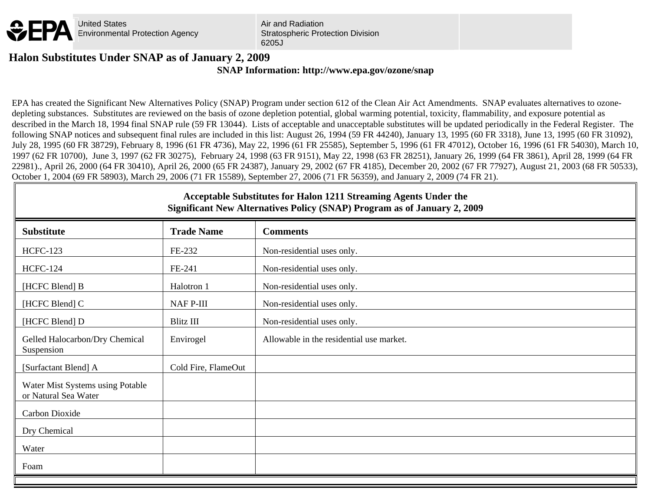

Air and Radiation Stratospheric Protection Division 6205J

## **SNAP Information: http://www.epa.gov/ozone/snap Halon Substitutes Under SNAP as of January 2, 2009**

EPA has created the Significant New Alternatives Policy (SNAP) Program under section 612 of the Clean Air Act Amendments. SNAP evaluates alternatives to ozonedepleting substances. Substitutes are reviewed on the basis of ozone depletion potential, global warming potential, toxicity, flammability, and exposure potential as described in the March 18, 1994 final SNAP rule (59 FR 13044). Lists of acceptable and unacceptable substitutes will be updated periodically in the Federal Register. The following SNAP notices and subsequent final rules are included in this list: August 26, 1994 (59 FR 44240), January 13, 1995 (60 FR 3318), June 13, 1995 (60 FR 31092), July 28, 1995 (60 FR 38729), February 8, 1996 (61 FR 4736), May 22, 1996 (61 FR 25585), September 5, 1996 (61 FR 47012), October 16, 1996 (61 FR 54030), March 10, 1997 (62 FR 10700), June 3, 1997 (62 FR 30275), February 24, 1998 (63 FR 9151), May 22, 1998 (63 FR 28251), January 26, 1999 (64 FR 3861), April 28, 1999 (64 FR 22981)., April 26, 2000 (64 FR 30410), April 26, 2000 (65 FR 24387), January 29, 2002 (67 FR 4185), December 20, 2002 (67 FR 77927), August 21, 2003 (68 FR 50533), October 1, 2004 (69 FR 58903), March 29, 2006 (71 FR 15589), September 27, 2006 (71 FR 56359), and January 2, 2009 (74 FR 21).

## **Acceptable Substitutes for Halon 1211 Streaming Agents Under the Significant New Alternatives Policy (SNAP) Program as of January 2, 2009**

| <b>Substitute</b>                                        | <b>Trade Name</b>   | <b>Comments</b>                          |
|----------------------------------------------------------|---------------------|------------------------------------------|
| <b>HCFC-123</b>                                          | FE-232              | Non-residential uses only.               |
| <b>HCFC-124</b>                                          | FE-241              | Non-residential uses only.               |
| [HCFC Blend] B                                           | Halotron 1          | Non-residential uses only.               |
| [HCFC Blend] C                                           | NAF P-III           | Non-residential uses only.               |
| [HCFC Blend] D                                           | Blitz III           | Non-residential uses only.               |
| Gelled Halocarbon/Dry Chemical<br>Suspension             | Envirogel           | Allowable in the residential use market. |
| [Surfactant Blend] A                                     | Cold Fire, FlameOut |                                          |
| Water Mist Systems using Potable<br>or Natural Sea Water |                     |                                          |
| Carbon Dioxide                                           |                     |                                          |
| Dry Chemical                                             |                     |                                          |
| Water                                                    |                     |                                          |
| Foam                                                     |                     |                                          |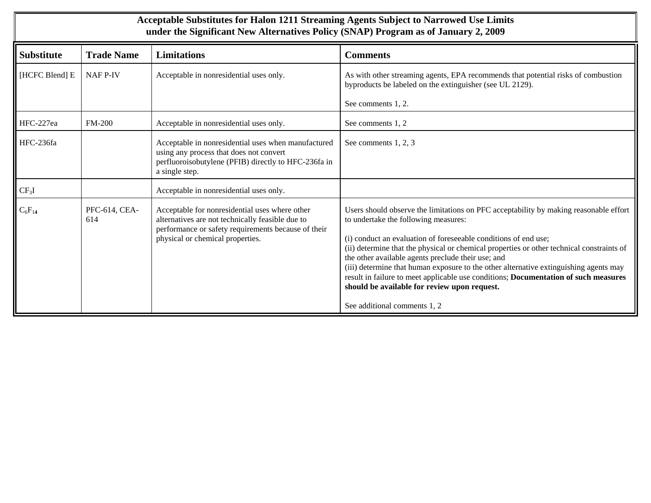| Acceptable Substitutes for Halon 1211 Streaming Agents Subject to Narrowed Use Limits<br>under the Significant New Alternatives Policy (SNAP) Program as of January 2, 2009 |                      |                                                                                                                                                                                               |                                                                                                                                                                                                                                                                                                                                                                                                                                                                                                                                                                                                                     |
|-----------------------------------------------------------------------------------------------------------------------------------------------------------------------------|----------------------|-----------------------------------------------------------------------------------------------------------------------------------------------------------------------------------------------|---------------------------------------------------------------------------------------------------------------------------------------------------------------------------------------------------------------------------------------------------------------------------------------------------------------------------------------------------------------------------------------------------------------------------------------------------------------------------------------------------------------------------------------------------------------------------------------------------------------------|
| <b>Substitute</b>                                                                                                                                                           | <b>Trade Name</b>    | <b>Limitations</b>                                                                                                                                                                            | <b>Comments</b>                                                                                                                                                                                                                                                                                                                                                                                                                                                                                                                                                                                                     |
| [HCFC Blend] E                                                                                                                                                              | <b>NAF P-IV</b>      | Acceptable in nonresidential uses only.                                                                                                                                                       | As with other streaming agents, EPA recommends that potential risks of combustion<br>byproducts be labeled on the extinguisher (see UL 2129).<br>See comments 1, 2.                                                                                                                                                                                                                                                                                                                                                                                                                                                 |
| HFC-227ea                                                                                                                                                                   | <b>FM-200</b>        | Acceptable in nonresidential uses only.                                                                                                                                                       | See comments 1, 2                                                                                                                                                                                                                                                                                                                                                                                                                                                                                                                                                                                                   |
| HFC-236fa                                                                                                                                                                   |                      | Acceptable in nonresidential uses when manufactured<br>using any process that does not convert<br>perfluoroisobutylene (PFIB) directly to HFC-236fa in<br>a single step.                      | See comments 1, 2, 3                                                                                                                                                                                                                                                                                                                                                                                                                                                                                                                                                                                                |
| $CF_3I$                                                                                                                                                                     |                      | Acceptable in nonresidential uses only.                                                                                                                                                       |                                                                                                                                                                                                                                                                                                                                                                                                                                                                                                                                                                                                                     |
| $C_6F_{14}$                                                                                                                                                                 | PFC-614, CEA-<br>614 | Acceptable for nonresidential uses where other<br>alternatives are not technically feasible due to<br>performance or safety requirements because of their<br>physical or chemical properties. | Users should observe the limitations on PFC acceptability by making reasonable effort<br>to undertake the following measures:<br>(i) conduct an evaluation of foreseeable conditions of end use;<br>(ii) determine that the physical or chemical properties or other technical constraints of<br>the other available agents preclude their use; and<br>(iii) determine that human exposure to the other alternative extinguishing agents may<br>result in failure to meet applicable use conditions; Documentation of such measures<br>should be available for review upon request.<br>See additional comments 1, 2 |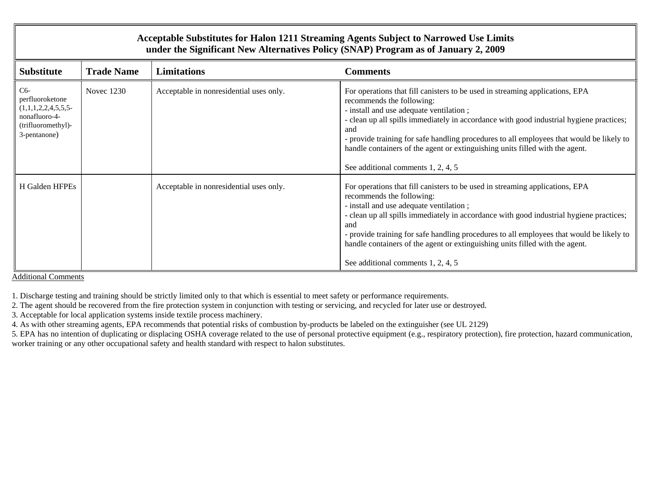## **Acceptable Substitutes for Halon 1211 Streaming Agents Subject to Narrowed Use Limits under the Significant New Alternatives Policy (SNAP) Program as of January 2, 2009**

| <b>Substitute</b>                                                                                      | <b>Trade Name</b> | <b>Limitations</b>                      | <b>Comments</b>                                                                                                                                                                                                                                                                                                                                                                                                                                                          |
|--------------------------------------------------------------------------------------------------------|-------------------|-----------------------------------------|--------------------------------------------------------------------------------------------------------------------------------------------------------------------------------------------------------------------------------------------------------------------------------------------------------------------------------------------------------------------------------------------------------------------------------------------------------------------------|
| $C6-$<br>perfluoroketone<br>(1,1,1,2,2,4,5,5,5)<br>nonafluoro-4-<br>(trifluoromethyl)-<br>3-pentanone) | Novec 1230        | Acceptable in nonresidential uses only. | For operations that fill canisters to be used in streaming applications, EPA<br>recommends the following:<br>- install and use adequate ventilation;<br>- clean up all spills immediately in accordance with good industrial hygiene practices;<br>and<br>- provide training for safe handling procedures to all employees that would be likely to<br>handle containers of the agent or extinguishing units filled with the agent.<br>See additional comments 1, 2, 4, 5 |
| H Galden HFPEs                                                                                         |                   | Acceptable in nonresidential uses only. | For operations that fill canisters to be used in streaming applications, EPA<br>recommends the following:<br>- install and use adequate ventilation;<br>- clean up all spills immediately in accordance with good industrial hygiene practices;<br>and<br>- provide training for safe handling procedures to all employees that would be likely to<br>handle containers of the agent or extinguishing units filled with the agent.<br>See additional comments 1, 2, 4, 5 |

Additional Comments

1. Discharge testing and training should be strictly limited only to that which is essential to meet safety or performance requirements.

2. The agent should be recovered from the fire protection system in conjunction with testing or servicing, and recycled for later use or destroyed.

3. Acceptable for local application systems inside textile process machinery.

4. As with other streaming agents, EPA recommends that potential risks of combustion by-products be labeled on the extinguisher (see UL 2129)

5. EPA has no intention of duplicating or displacing OSHA coverage related to the use of personal protective equipment (e.g., respiratory protection), fire protection, hazard communication, worker training or any other occupational safety and health standard with respect to halon substitutes.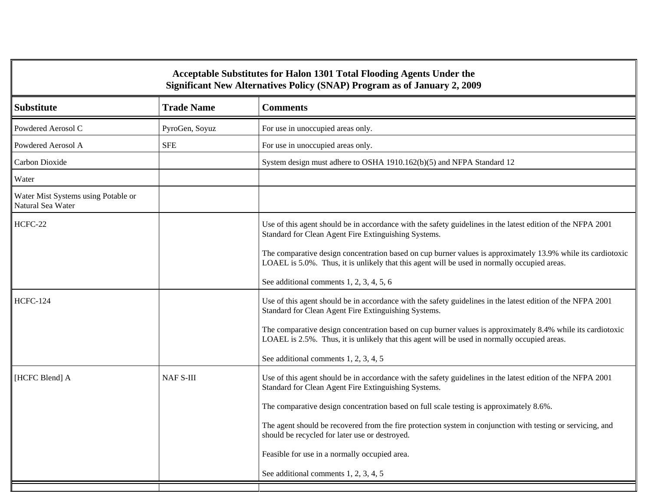| Acceptable Substitutes for Halon 1301 Total Flooding Agents Under the<br>Significant New Alternatives Policy (SNAP) Program as of January 2, 2009 |                   |                                                                                                                                                                                                              |  |
|---------------------------------------------------------------------------------------------------------------------------------------------------|-------------------|--------------------------------------------------------------------------------------------------------------------------------------------------------------------------------------------------------------|--|
| <b>Substitute</b>                                                                                                                                 | <b>Trade Name</b> | <b>Comments</b>                                                                                                                                                                                              |  |
| Powdered Aerosol C                                                                                                                                | PyroGen, Soyuz    | For use in unoccupied areas only.                                                                                                                                                                            |  |
| Powdered Aerosol A                                                                                                                                | <b>SFE</b>        | For use in unoccupied areas only.                                                                                                                                                                            |  |
| Carbon Dioxide                                                                                                                                    |                   | System design must adhere to OSHA 1910.162(b)(5) and NFPA Standard 12                                                                                                                                        |  |
| Water                                                                                                                                             |                   |                                                                                                                                                                                                              |  |
| Water Mist Systems using Potable or<br>Natural Sea Water                                                                                          |                   |                                                                                                                                                                                                              |  |
| HCFC-22                                                                                                                                           |                   | Use of this agent should be in accordance with the safety guidelines in the latest edition of the NFPA 2001<br>Standard for Clean Agent Fire Extinguishing Systems.                                          |  |
|                                                                                                                                                   |                   | The comparative design concentration based on cup burner values is approximately 13.9% while its cardiotoxic<br>LOAEL is 5.0%. Thus, it is unlikely that this agent will be used in normally occupied areas. |  |
|                                                                                                                                                   |                   | See additional comments 1, 2, 3, 4, 5, 6                                                                                                                                                                     |  |
| <b>HCFC-124</b>                                                                                                                                   |                   | Use of this agent should be in accordance with the safety guidelines in the latest edition of the NFPA 2001<br>Standard for Clean Agent Fire Extinguishing Systems.                                          |  |
|                                                                                                                                                   |                   | The comparative design concentration based on cup burner values is approximately 8.4% while its cardiotoxic<br>LOAEL is 2.5%. Thus, it is unlikely that this agent will be used in normally occupied areas.  |  |
|                                                                                                                                                   |                   | See additional comments 1, 2, 3, 4, 5                                                                                                                                                                        |  |
| [HCFC Blend] A                                                                                                                                    | <b>NAF S-III</b>  | Use of this agent should be in accordance with the safety guidelines in the latest edition of the NFPA 2001<br>Standard for Clean Agent Fire Extinguishing Systems.                                          |  |
|                                                                                                                                                   |                   | The comparative design concentration based on full scale testing is approximately 8.6%.                                                                                                                      |  |
|                                                                                                                                                   |                   | The agent should be recovered from the fire protection system in conjunction with testing or servicing, and<br>should be recycled for later use or destroyed.                                                |  |
|                                                                                                                                                   |                   | Feasible for use in a normally occupied area.                                                                                                                                                                |  |
|                                                                                                                                                   |                   | See additional comments 1, 2, 3, 4, 5                                                                                                                                                                        |  |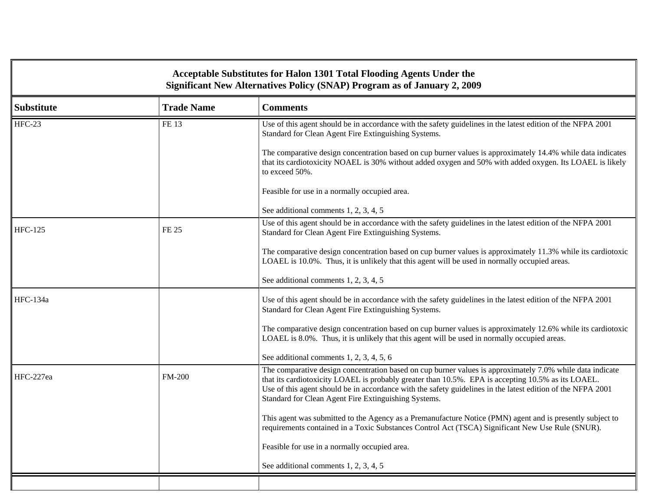| <b>Acceptable Substitutes for Halon 1301 Total Flooding Agents Under the</b><br>Significant New Alternatives Policy (SNAP) Program as of January 2, 2009 |                                      |                                                                                                                                                                                                                                                                                                                                                                                        |  |
|----------------------------------------------------------------------------------------------------------------------------------------------------------|--------------------------------------|----------------------------------------------------------------------------------------------------------------------------------------------------------------------------------------------------------------------------------------------------------------------------------------------------------------------------------------------------------------------------------------|--|
| <b>Substitute</b>                                                                                                                                        | <b>Trade Name</b><br><b>Comments</b> |                                                                                                                                                                                                                                                                                                                                                                                        |  |
| $HFC-23$                                                                                                                                                 | FE 13                                | Use of this agent should be in accordance with the safety guidelines in the latest edition of the NFPA 2001<br>Standard for Clean Agent Fire Extinguishing Systems.                                                                                                                                                                                                                    |  |
|                                                                                                                                                          |                                      | The comparative design concentration based on cup burner values is approximately 14.4% while data indicates<br>that its cardiotoxicity NOAEL is 30% without added oxygen and 50% with added oxygen. Its LOAEL is likely<br>to exceed 50%.                                                                                                                                              |  |
|                                                                                                                                                          |                                      | Feasible for use in a normally occupied area.                                                                                                                                                                                                                                                                                                                                          |  |
|                                                                                                                                                          |                                      | See additional comments 1, 2, 3, 4, 5                                                                                                                                                                                                                                                                                                                                                  |  |
| <b>HFC-125</b>                                                                                                                                           | FE 25                                | Use of this agent should be in accordance with the safety guidelines in the latest edition of the NFPA 2001<br>Standard for Clean Agent Fire Extinguishing Systems.                                                                                                                                                                                                                    |  |
|                                                                                                                                                          |                                      | The comparative design concentration based on cup burner values is approximately 11.3% while its cardiotoxic<br>LOAEL is 10.0%. Thus, it is unlikely that this agent will be used in normally occupied areas.                                                                                                                                                                          |  |
|                                                                                                                                                          |                                      | See additional comments 1, 2, 3, 4, 5                                                                                                                                                                                                                                                                                                                                                  |  |
| <b>HFC-134a</b>                                                                                                                                          |                                      | Use of this agent should be in accordance with the safety guidelines in the latest edition of the NFPA 2001<br>Standard for Clean Agent Fire Extinguishing Systems.                                                                                                                                                                                                                    |  |
|                                                                                                                                                          |                                      | The comparative design concentration based on cup burner values is approximately 12.6% while its cardiotoxic<br>LOAEL is 8.0%. Thus, it is unlikely that this agent will be used in normally occupied areas.                                                                                                                                                                           |  |
|                                                                                                                                                          |                                      | See additional comments 1, 2, 3, 4, 5, 6                                                                                                                                                                                                                                                                                                                                               |  |
| HFC-227ea                                                                                                                                                | <b>FM-200</b>                        | The comparative design concentration based on cup burner values is approximately 7.0% while data indicate<br>that its cardiotoxicity LOAEL is probably greater than 10.5%. EPA is accepting 10.5% as its LOAEL.<br>Use of this agent should be in accordance with the safety guidelines in the latest edition of the NFPA 2001<br>Standard for Clean Agent Fire Extinguishing Systems. |  |
|                                                                                                                                                          |                                      | This agent was submitted to the Agency as a Premanufacture Notice (PMN) agent and is presently subject to<br>requirements contained in a Toxic Substances Control Act (TSCA) Significant New Use Rule (SNUR).                                                                                                                                                                          |  |
|                                                                                                                                                          |                                      | Feasible for use in a normally occupied area.                                                                                                                                                                                                                                                                                                                                          |  |
|                                                                                                                                                          |                                      | See additional comments 1, 2, 3, 4, 5                                                                                                                                                                                                                                                                                                                                                  |  |
|                                                                                                                                                          |                                      |                                                                                                                                                                                                                                                                                                                                                                                        |  |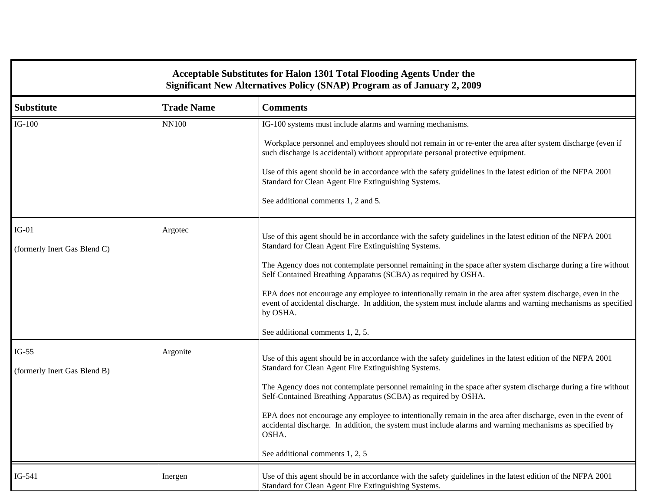| Acceptable Substitutes for Halon 1301 Total Flooding Agents Under the<br>Significant New Alternatives Policy (SNAP) Program as of January 2, 2009 |                   |                                                                                                                                                                                                                                                                                                                                                                                                                                                                                                                                                                                                                                         |  |
|---------------------------------------------------------------------------------------------------------------------------------------------------|-------------------|-----------------------------------------------------------------------------------------------------------------------------------------------------------------------------------------------------------------------------------------------------------------------------------------------------------------------------------------------------------------------------------------------------------------------------------------------------------------------------------------------------------------------------------------------------------------------------------------------------------------------------------------|--|
| <b>Substitute</b>                                                                                                                                 | <b>Trade Name</b> | <b>Comments</b>                                                                                                                                                                                                                                                                                                                                                                                                                                                                                                                                                                                                                         |  |
| $IG-100$                                                                                                                                          | <b>NN100</b>      | IG-100 systems must include alarms and warning mechanisms.<br>Workplace personnel and employees should not remain in or re-enter the area after system discharge (even if<br>such discharge is accidental) without appropriate personal protective equipment.<br>Use of this agent should be in accordance with the safety guidelines in the latest edition of the NFPA 2001<br>Standard for Clean Agent Fire Extinguishing Systems.<br>See additional comments 1, 2 and 5.                                                                                                                                                             |  |
| $IG-01$<br>(formerly Inert Gas Blend C)                                                                                                           | Argotec           | Use of this agent should be in accordance with the safety guidelines in the latest edition of the NFPA 2001<br>Standard for Clean Agent Fire Extinguishing Systems.<br>The Agency does not contemplate personnel remaining in the space after system discharge during a fire without<br>Self Contained Breathing Apparatus (SCBA) as required by OSHA.<br>EPA does not encourage any employee to intentionally remain in the area after system discharge, even in the<br>event of accidental discharge. In addition, the system must include alarms and warning mechanisms as specified<br>by OSHA.<br>See additional comments 1, 2, 5. |  |
| $IG-55$<br>(formerly Inert Gas Blend B)                                                                                                           | Argonite          | Use of this agent should be in accordance with the safety guidelines in the latest edition of the NFPA 2001<br>Standard for Clean Agent Fire Extinguishing Systems.<br>The Agency does not contemplate personnel remaining in the space after system discharge during a fire without<br>Self-Contained Breathing Apparatus (SCBA) as required by OSHA.<br>EPA does not encourage any employee to intentionally remain in the area after discharge, even in the event of<br>accidental discharge. In addition, the system must include alarms and warning mechanisms as specified by<br>OSHA.<br>See additional comments 1, 2, 5         |  |
| $IG-541$                                                                                                                                          | Inergen           | Use of this agent should be in accordance with the safety guidelines in the latest edition of the NFPA 2001<br>Standard for Clean Agent Fire Extinguishing Systems.                                                                                                                                                                                                                                                                                                                                                                                                                                                                     |  |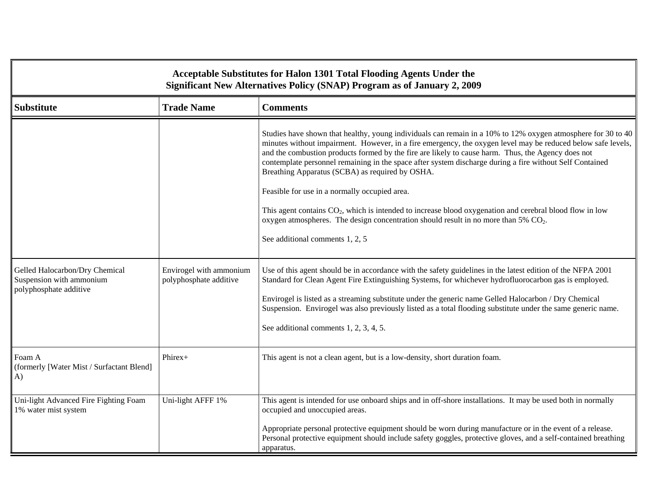| Acceptable Substitutes for Halon 1301 Total Flooding Agents Under the<br>Significant New Alternatives Policy (SNAP) Program as of January 2, 2009 |                                                   |                                                                                                                                                                                                                                                                                                                                                                                                                                                                                                   |  |
|---------------------------------------------------------------------------------------------------------------------------------------------------|---------------------------------------------------|---------------------------------------------------------------------------------------------------------------------------------------------------------------------------------------------------------------------------------------------------------------------------------------------------------------------------------------------------------------------------------------------------------------------------------------------------------------------------------------------------|--|
| <b>Trade Name</b><br><b>Substitute</b><br><b>Comments</b>                                                                                         |                                                   |                                                                                                                                                                                                                                                                                                                                                                                                                                                                                                   |  |
|                                                                                                                                                   |                                                   | Studies have shown that healthy, young individuals can remain in a 10% to 12% oxygen atmosphere for 30 to 40<br>minutes without impairment. However, in a fire emergency, the oxygen level may be reduced below safe levels,<br>and the combustion products formed by the fire are likely to cause harm. Thus, the Agency does not<br>contemplate personnel remaining in the space after system discharge during a fire without Self Contained<br>Breathing Apparatus (SCBA) as required by OSHA. |  |
|                                                                                                                                                   |                                                   | Feasible for use in a normally occupied area.<br>This agent contains $CO2$ , which is intended to increase blood oxygenation and cerebral blood flow in low<br>oxygen atmospheres. The design concentration should result in no more than 5% $CO2$ .<br>See additional comments 1, 2, 5                                                                                                                                                                                                           |  |
|                                                                                                                                                   |                                                   |                                                                                                                                                                                                                                                                                                                                                                                                                                                                                                   |  |
| Gelled Halocarbon/Dry Chemical<br>Suspension with ammonium<br>polyphosphate additive                                                              | Envirogel with ammonium<br>polyphosphate additive | Use of this agent should be in accordance with the safety guidelines in the latest edition of the NFPA 2001<br>Standard for Clean Agent Fire Extinguishing Systems, for whichever hydrofluorocarbon gas is employed.<br>Envirogel is listed as a streaming substitute under the generic name Gelled Halocarbon / Dry Chemical<br>Suspension. Envirogel was also previously listed as a total flooding substitute under the same generic name.<br>See additional comments 1, 2, 3, 4, 5.           |  |
|                                                                                                                                                   |                                                   |                                                                                                                                                                                                                                                                                                                                                                                                                                                                                                   |  |
| Foam A<br>(formerly [Water Mist / Surfactant Blend]<br>A)                                                                                         | Phirex+                                           | This agent is not a clean agent, but is a low-density, short duration foam.                                                                                                                                                                                                                                                                                                                                                                                                                       |  |
| Uni-light Advanced Fire Fighting Foam<br>1% water mist system                                                                                     | Uni-light AFFF 1%                                 | This agent is intended for use onboard ships and in off-shore installations. It may be used both in normally<br>occupied and unoccupied areas.                                                                                                                                                                                                                                                                                                                                                    |  |
|                                                                                                                                                   |                                                   | Appropriate personal protective equipment should be worn during manufacture or in the event of a release.<br>Personal protective equipment should include safety goggles, protective gloves, and a self-contained breathing<br>apparatus.                                                                                                                                                                                                                                                         |  |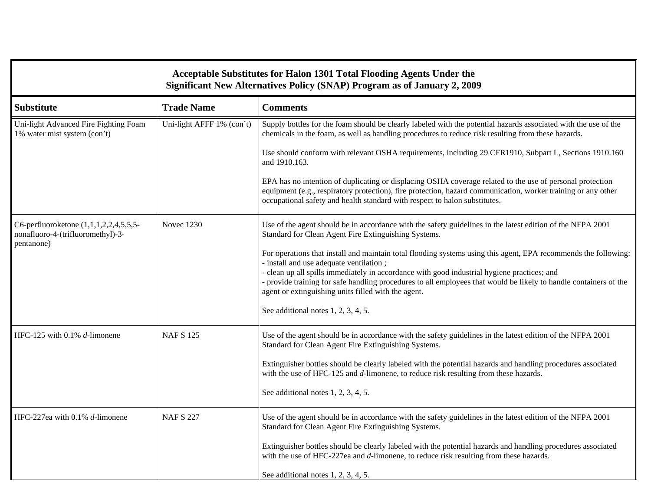| Acceptable Substitutes for Halon 1301 Total Flooding Agents Under the<br>Significant New Alternatives Policy (SNAP) Program as of January 2, 2009 |                           |                                                                                                                                                                                                                                                                                                                                                                                                                                       |  |
|---------------------------------------------------------------------------------------------------------------------------------------------------|---------------------------|---------------------------------------------------------------------------------------------------------------------------------------------------------------------------------------------------------------------------------------------------------------------------------------------------------------------------------------------------------------------------------------------------------------------------------------|--|
| <b>Substitute</b>                                                                                                                                 | <b>Trade Name</b>         | <b>Comments</b>                                                                                                                                                                                                                                                                                                                                                                                                                       |  |
| Uni-light Advanced Fire Fighting Foam<br>1% water mist system (con't)                                                                             | Uni-light AFFF 1% (con't) | Supply bottles for the foam should be clearly labeled with the potential hazards associated with the use of the<br>chemicals in the foam, as well as handling procedures to reduce risk resulting from these hazards.                                                                                                                                                                                                                 |  |
|                                                                                                                                                   |                           | Use should conform with relevant OSHA requirements, including 29 CFR1910, Subpart L, Sections 1910.160<br>and 1910.163.                                                                                                                                                                                                                                                                                                               |  |
|                                                                                                                                                   |                           | EPA has no intention of duplicating or displacing OSHA coverage related to the use of personal protection<br>equipment (e.g., respiratory protection), fire protection, hazard communication, worker training or any other<br>occupational safety and health standard with respect to halon substitutes.                                                                                                                              |  |
| C6-perfluoroketone (1,1,1,2,2,4,5,5,5-<br>nonafluoro-4-(trifluoromethyl)-3-<br>pentanone)                                                         | <b>Novec 1230</b>         | Use of the agent should be in accordance with the safety guidelines in the latest edition of the NFPA 2001<br>Standard for Clean Agent Fire Extinguishing Systems.                                                                                                                                                                                                                                                                    |  |
|                                                                                                                                                   |                           | For operations that install and maintain total flooding systems using this agent, EPA recommends the following:<br>- install and use adequate ventilation;<br>- clean up all spills immediately in accordance with good industrial hygiene practices; and<br>- provide training for safe handling procedures to all employees that would be likely to handle containers of the<br>agent or extinguishing units filled with the agent. |  |
|                                                                                                                                                   |                           | See additional notes 1, 2, 3, 4, 5.                                                                                                                                                                                                                                                                                                                                                                                                   |  |
| HFC-125 with 0.1% d-limonene                                                                                                                      | <b>NAFS 125</b>           | Use of the agent should be in accordance with the safety guidelines in the latest edition of the NFPA 2001<br>Standard for Clean Agent Fire Extinguishing Systems.                                                                                                                                                                                                                                                                    |  |
|                                                                                                                                                   |                           | Extinguisher bottles should be clearly labeled with the potential hazards and handling procedures associated<br>with the use of HFC-125 and d-limonene, to reduce risk resulting from these hazards.                                                                                                                                                                                                                                  |  |
|                                                                                                                                                   |                           | See additional notes 1, 2, 3, 4, 5.                                                                                                                                                                                                                                                                                                                                                                                                   |  |
| HFC-227ea with 0.1% d-limonene                                                                                                                    | <b>NAF S 227</b>          | Use of the agent should be in accordance with the safety guidelines in the latest edition of the NFPA 2001<br>Standard for Clean Agent Fire Extinguishing Systems.                                                                                                                                                                                                                                                                    |  |
|                                                                                                                                                   |                           | Extinguisher bottles should be clearly labeled with the potential hazards and handling procedures associated<br>with the use of HFC-227ea and d-limonene, to reduce risk resulting from these hazards.                                                                                                                                                                                                                                |  |
|                                                                                                                                                   |                           | See additional notes $1, 2, 3, 4, 5$ .                                                                                                                                                                                                                                                                                                                                                                                                |  |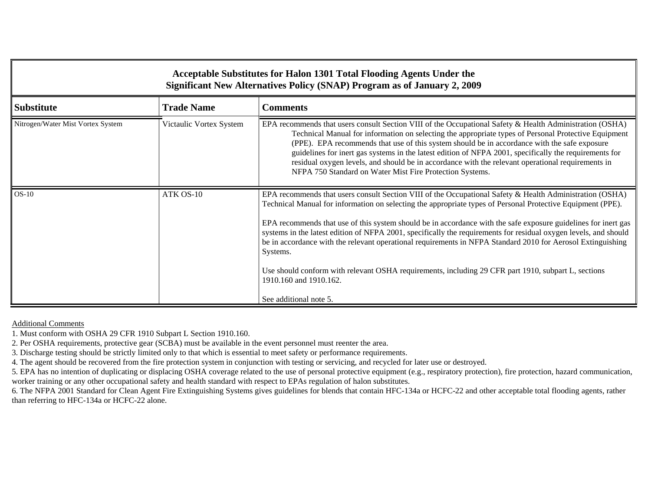| Acceptable Substitutes for Halon 1301 Total Flooding Agents Under the<br>Significant New Alternatives Policy (SNAP) Program as of January 2, 2009 |                         |                                                                                                                                                                                                                                                                                                                                                                                                                                                                                                                                                                                                                                                                                                                                                     |  |
|---------------------------------------------------------------------------------------------------------------------------------------------------|-------------------------|-----------------------------------------------------------------------------------------------------------------------------------------------------------------------------------------------------------------------------------------------------------------------------------------------------------------------------------------------------------------------------------------------------------------------------------------------------------------------------------------------------------------------------------------------------------------------------------------------------------------------------------------------------------------------------------------------------------------------------------------------------|--|
| <b>Substitute</b>                                                                                                                                 | <b>Trade Name</b>       | <b>Comments</b>                                                                                                                                                                                                                                                                                                                                                                                                                                                                                                                                                                                                                                                                                                                                     |  |
| Nitrogen/Water Mist Vortex System                                                                                                                 | Victaulic Vortex System | EPA recommends that users consult Section VIII of the Occupational Safety & Health Administration (OSHA)<br>Technical Manual for information on selecting the appropriate types of Personal Protective Equipment<br>(PPE). EPA recommends that use of this system should be in accordance with the safe exposure<br>guidelines for inert gas systems in the latest edition of NFPA 2001, specifically the requirements for<br>residual oxygen levels, and should be in accordance with the relevant operational requirements in<br>NFPA 750 Standard on Water Mist Fire Protection Systems.                                                                                                                                                         |  |
| $OS-10$                                                                                                                                           | ATK OS-10               | EPA recommends that users consult Section VIII of the Occupational Safety & Health Administration (OSHA)<br>Technical Manual for information on selecting the appropriate types of Personal Protective Equipment (PPE).<br>EPA recommends that use of this system should be in accordance with the safe exposure guidelines for inert gas<br>systems in the latest edition of NFPA 2001, specifically the requirements for residual oxygen levels, and should<br>be in accordance with the relevant operational requirements in NFPA Standard 2010 for Aerosol Extinguishing<br>Systems.<br>Use should conform with relevant OSHA requirements, including 29 CFR part 1910, subpart L, sections<br>1910.160 and 1910.162.<br>See additional note 5. |  |

Additional Comments

1. Must conform with OSHA 29 CFR 1910 Subpart L Section 1910.160.

2. Per OSHA requirements, protective gear (SCBA) must be available in the event personnel must reenter the area.

3. Discharge testing should be strictly limited only to that which is essential to meet safety or performance requirements.

4. The agent should be recovered from the fire protection system in conjunction with testing or servicing, and recycled for later use or destroyed.

5. EPA has no intention of duplicating or displacing OSHA coverage related to the use of personal protective equipment (e.g., respiratory protection), fire protection, hazard communication, worker training or any other occupational safety and health standard with respect to EPAs regulation of halon substitutes.

6. The NFPA 2001 Standard for Clean Agent Fire Extinguishing Systems gives guidelines for blends that contain HFC-134a or HCFC-22 and other acceptable total flooding agents, rather than referring to HFC-134a or HCFC-22 alone.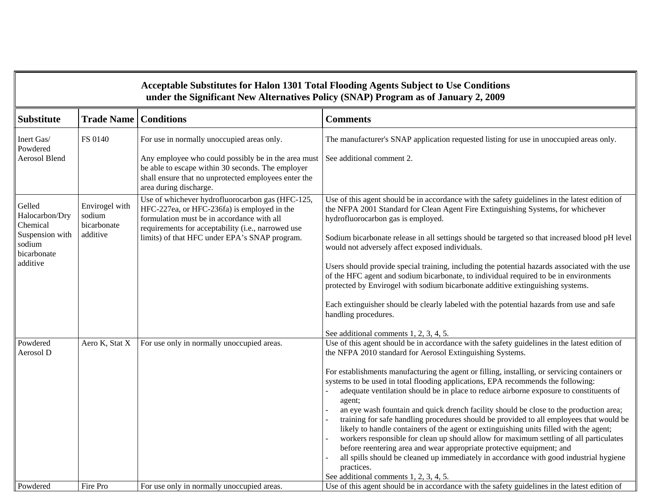|                                                                                              |                                                     |                                                                                                                                                                                                                                                      | Acceptable Substitutes for Halon 1301 Total Flooding Agents Subject to Use Conditions<br>under the Significant New Alternatives Policy (SNAP) Program as of January 2, 2009                                                                                                                                                                                                                                                                                                                                                                                                                                                                                                                                                                                                                                                                                                                                                                                                                                                                             |
|----------------------------------------------------------------------------------------------|-----------------------------------------------------|------------------------------------------------------------------------------------------------------------------------------------------------------------------------------------------------------------------------------------------------------|---------------------------------------------------------------------------------------------------------------------------------------------------------------------------------------------------------------------------------------------------------------------------------------------------------------------------------------------------------------------------------------------------------------------------------------------------------------------------------------------------------------------------------------------------------------------------------------------------------------------------------------------------------------------------------------------------------------------------------------------------------------------------------------------------------------------------------------------------------------------------------------------------------------------------------------------------------------------------------------------------------------------------------------------------------|
| <b>Substitute</b>                                                                            | <b>Trade Name</b>                                   | <b>Conditions</b>                                                                                                                                                                                                                                    | <b>Comments</b>                                                                                                                                                                                                                                                                                                                                                                                                                                                                                                                                                                                                                                                                                                                                                                                                                                                                                                                                                                                                                                         |
| Inert Gas/<br>Powdered<br><b>Aerosol Blend</b>                                               | FS 0140                                             | For use in normally unoccupied areas only.<br>Any employee who could possibly be in the area must<br>be able to escape within 30 seconds. The employer<br>shall ensure that no unprotected employees enter the<br>area during discharge.             | The manufacturer's SNAP application requested listing for use in unoccupied areas only.<br>See additional comment 2.                                                                                                                                                                                                                                                                                                                                                                                                                                                                                                                                                                                                                                                                                                                                                                                                                                                                                                                                    |
| Gelled<br>Halocarbon/Dry<br>Chemical<br>Suspension with<br>sodium<br>bicarbonate<br>additive | Envirogel with<br>sodium<br>bicarbonate<br>additive | Use of whichever hydrofluorocarbon gas (HFC-125,<br>HFC-227ea, or HFC-236fa) is employed in the<br>formulation must be in accordance with all<br>requirements for acceptability (i.e., narrowed use<br>limits) of that HFC under EPA's SNAP program. | Use of this agent should be in accordance with the safety guidelines in the latest edition of<br>the NFPA 2001 Standard for Clean Agent Fire Extinguishing Systems, for whichever<br>hydrofluorocarbon gas is employed.<br>Sodium bicarbonate release in all settings should be targeted so that increased blood pH level<br>would not adversely affect exposed individuals.<br>Users should provide special training, including the potential hazards associated with the use<br>of the HFC agent and sodium bicarbonate, to individual required to be in environments<br>protected by Envirogel with sodium bicarbonate additive extinguishing systems.<br>Each extinguisher should be clearly labeled with the potential hazards from use and safe<br>handling procedures.<br>See additional comments 1, 2, 3, 4, 5.                                                                                                                                                                                                                                 |
| Powdered<br>Aerosol D                                                                        | Aero K, Stat X                                      | For use only in normally unoccupied areas.                                                                                                                                                                                                           | Use of this agent should be in accordance with the safety guidelines in the latest edition of<br>the NFPA 2010 standard for Aerosol Extinguishing Systems.<br>For establishments manufacturing the agent or filling, installing, or servicing containers or<br>systems to be used in total flooding applications, EPA recommends the following:<br>adequate ventilation should be in place to reduce airborne exposure to constituents of<br>agent;<br>an eye wash fountain and quick drench facility should be close to the production area;<br>training for safe handling procedures should be provided to all employees that would be<br>likely to handle containers of the agent or extinguishing units filled with the agent;<br>workers responsible for clean up should allow for maximum settling of all particulates<br>before reentering area and wear appropriate protective equipment; and<br>all spills should be cleaned up immediately in accordance with good industrial hygiene<br>practices.<br>See additional comments 1, 2, 3, 4, 5. |
| Powdered                                                                                     | Fire Pro                                            | For use only in normally unoccupied areas.                                                                                                                                                                                                           | Use of this agent should be in accordance with the safety guidelines in the latest edition of                                                                                                                                                                                                                                                                                                                                                                                                                                                                                                                                                                                                                                                                                                                                                                                                                                                                                                                                                           |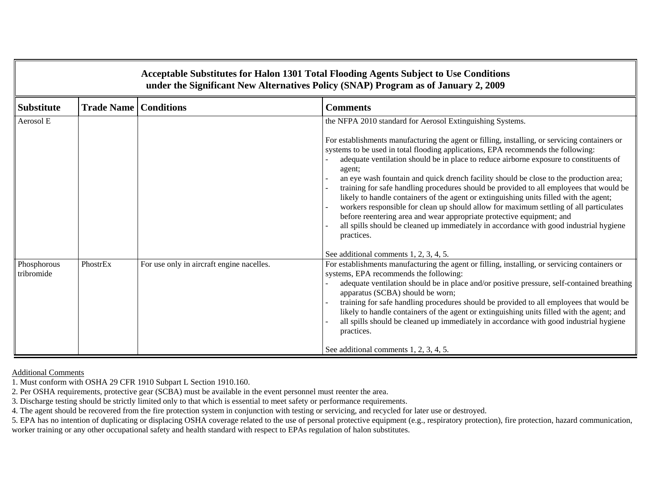|                           |                   |                                           | Acceptable Substitutes for Halon 1301 Total Flooding Agents Subject to Use Conditions<br>under the Significant New Alternatives Policy (SNAP) Program as of January 2, 2009                                                                                                                                                                                                                                                                                                                                                                                                                                                                                                                                                                                                                                                                     |
|---------------------------|-------------------|-------------------------------------------|-------------------------------------------------------------------------------------------------------------------------------------------------------------------------------------------------------------------------------------------------------------------------------------------------------------------------------------------------------------------------------------------------------------------------------------------------------------------------------------------------------------------------------------------------------------------------------------------------------------------------------------------------------------------------------------------------------------------------------------------------------------------------------------------------------------------------------------------------|
| <b>Substitute</b>         | <b>Trade Name</b> | <b>Conditions</b>                         | <b>Comments</b>                                                                                                                                                                                                                                                                                                                                                                                                                                                                                                                                                                                                                                                                                                                                                                                                                                 |
| Aerosol E                 |                   |                                           | the NFPA 2010 standard for Aerosol Extinguishing Systems.                                                                                                                                                                                                                                                                                                                                                                                                                                                                                                                                                                                                                                                                                                                                                                                       |
|                           |                   |                                           | For establishments manufacturing the agent or filling, installing, or servicing containers or<br>systems to be used in total flooding applications, EPA recommends the following:<br>adequate ventilation should be in place to reduce airborne exposure to constituents of<br>agent;<br>an eye wash fountain and quick drench facility should be close to the production area;<br>training for safe handling procedures should be provided to all employees that would be<br>likely to handle containers of the agent or extinguishing units filled with the agent;<br>workers responsible for clean up should allow for maximum settling of all particulates<br>before reentering area and wear appropriate protective equipment; and<br>all spills should be cleaned up immediately in accordance with good industrial hygiene<br>practices. |
|                           |                   |                                           | See additional comments 1, 2, 3, 4, 5.                                                                                                                                                                                                                                                                                                                                                                                                                                                                                                                                                                                                                                                                                                                                                                                                          |
| Phosphorous<br>tribromide | PhostrEx          | For use only in aircraft engine nacelles. | For establishments manufacturing the agent or filling, installing, or servicing containers or<br>systems, EPA recommends the following:<br>adequate ventilation should be in place and/or positive pressure, self-contained breathing<br>apparatus (SCBA) should be worn;<br>training for safe handling procedures should be provided to all employees that would be<br>likely to handle containers of the agent or extinguishing units filled with the agent; and<br>all spills should be cleaned up immediately in accordance with good industrial hygiene<br>practices.<br>See additional comments 1, 2, 3, 4, 5.                                                                                                                                                                                                                            |

Additional Comments

1. Must conform with OSHA 29 CFR 1910 Subpart L Section 1910.160.

2. Per OSHA requirements, protective gear (SCBA) must be available in the event personnel must reenter the area.

3. Discharge testing should be strictly limited only to that which is essential to meet safety or performance requirements.

4. The agent should be recovered from the fire protection system in conjunction with testing or servicing, and recycled for later use or destroyed.

5. EPA has no intention of duplicating or displacing OSHA coverage related to the use of personal protective equipment (e.g., respiratory protection), fire protection, hazard communication, worker training or any other occupational safety and health standard with respect to EPAs regulation of halon substitutes.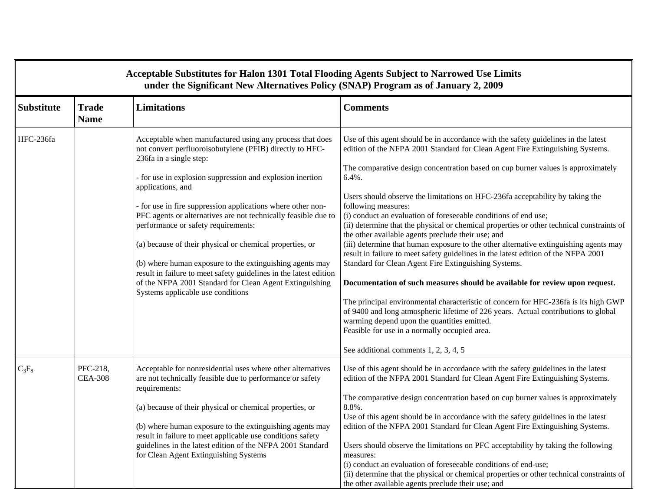|                   | Acceptable Substitutes for Halon 1301 Total Flooding Agents Subject to Narrowed Use Limits<br>under the Significant New Alternatives Policy (SNAP) Program as of January 2, 2009 |                                                                                                                                                                                                                                                                                                                                                                                                                                                                                                                                                                                                                                                                                                        |                                                                                                                                                                                                                                                                                                                                                                                                                                                                                                                                                                                                                                                                                                                                                                                                                                                                                                                                                                                                                                                                                                                                                                                                                                               |  |  |
|-------------------|----------------------------------------------------------------------------------------------------------------------------------------------------------------------------------|--------------------------------------------------------------------------------------------------------------------------------------------------------------------------------------------------------------------------------------------------------------------------------------------------------------------------------------------------------------------------------------------------------------------------------------------------------------------------------------------------------------------------------------------------------------------------------------------------------------------------------------------------------------------------------------------------------|-----------------------------------------------------------------------------------------------------------------------------------------------------------------------------------------------------------------------------------------------------------------------------------------------------------------------------------------------------------------------------------------------------------------------------------------------------------------------------------------------------------------------------------------------------------------------------------------------------------------------------------------------------------------------------------------------------------------------------------------------------------------------------------------------------------------------------------------------------------------------------------------------------------------------------------------------------------------------------------------------------------------------------------------------------------------------------------------------------------------------------------------------------------------------------------------------------------------------------------------------|--|--|
| <b>Substitute</b> | <b>Trade</b><br><b>Name</b>                                                                                                                                                      | <b>Limitations</b>                                                                                                                                                                                                                                                                                                                                                                                                                                                                                                                                                                                                                                                                                     | <b>Comments</b>                                                                                                                                                                                                                                                                                                                                                                                                                                                                                                                                                                                                                                                                                                                                                                                                                                                                                                                                                                                                                                                                                                                                                                                                                               |  |  |
| HFC-236fa         |                                                                                                                                                                                  | Acceptable when manufactured using any process that does<br>not convert perfluoroisobutylene (PFIB) directly to HFC-<br>236fa in a single step:<br>- for use in explosion suppression and explosion inertion<br>applications, and<br>- for use in fire suppression applications where other non-<br>PFC agents or alternatives are not technically feasible due to<br>performance or safety requirements:<br>(a) because of their physical or chemical properties, or<br>(b) where human exposure to the extinguishing agents may<br>result in failure to meet safety guidelines in the latest edition<br>of the NFPA 2001 Standard for Clean Agent Extinguishing<br>Systems applicable use conditions | Use of this agent should be in accordance with the safety guidelines in the latest<br>edition of the NFPA 2001 Standard for Clean Agent Fire Extinguishing Systems.<br>The comparative design concentration based on cup burner values is approximately<br>$6.4%$ .<br>Users should observe the limitations on HFC-236fa acceptability by taking the<br>following measures:<br>(i) conduct an evaluation of foreseeable conditions of end use;<br>(ii) determine that the physical or chemical properties or other technical constraints of<br>the other available agents preclude their use; and<br>(iii) determine that human exposure to the other alternative extinguishing agents may<br>result in failure to meet safety guidelines in the latest edition of the NFPA 2001<br>Standard for Clean Agent Fire Extinguishing Systems.<br>Documentation of such measures should be available for review upon request.<br>The principal environmental characteristic of concern for HFC-236fa is its high GWP<br>of 9400 and long atmospheric lifetime of 226 years. Actual contributions to global<br>warming depend upon the quantities emitted.<br>Feasible for use in a normally occupied area.<br>See additional comments 1, 2, 3, 4, 5 |  |  |
| $C_3F_8$          | PFC-218,<br><b>CEA-308</b>                                                                                                                                                       | Acceptable for nonresidential uses where other alternatives<br>are not technically feasible due to performance or safety<br>requirements:<br>(a) because of their physical or chemical properties, or<br>(b) where human exposure to the extinguishing agents may<br>result in failure to meet applicable use conditions safety<br>guidelines in the latest edition of the NFPA 2001 Standard<br>for Clean Agent Extinguishing Systems                                                                                                                                                                                                                                                                 | Use of this agent should be in accordance with the safety guidelines in the latest<br>edition of the NFPA 2001 Standard for Clean Agent Fire Extinguishing Systems.<br>The comparative design concentration based on cup burner values is approximately<br>8.8%.<br>Use of this agent should be in accordance with the safety guidelines in the latest<br>edition of the NFPA 2001 Standard for Clean Agent Fire Extinguishing Systems.<br>Users should observe the limitations on PFC acceptability by taking the following<br>measures:<br>(i) conduct an evaluation of foreseeable conditions of end-use;<br>(ii) determine that the physical or chemical properties or other technical constraints of<br>the other available agents preclude their use; and                                                                                                                                                                                                                                                                                                                                                                                                                                                                               |  |  |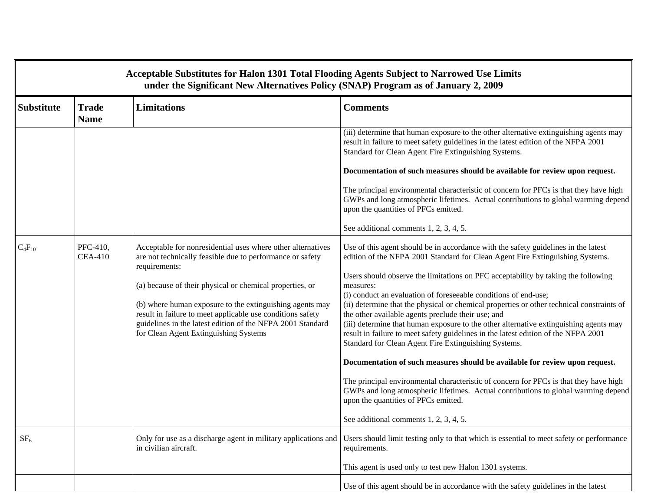| Acceptable Substitutes for Halon 1301 Total Flooding Agents Subject to Narrowed Use Limits<br>under the Significant New Alternatives Policy (SNAP) Program as of January 2, 2009 |                             |                                                                                                                                                                                                                                                                                                                                                                                                                                        |                                                                                                                                                                                                                                                                                                                                                                                                                                                                                                                                                                                                                                                                                                                                                                                                                                                                                                                                                                                                                                                                                    |  |  |  |
|----------------------------------------------------------------------------------------------------------------------------------------------------------------------------------|-----------------------------|----------------------------------------------------------------------------------------------------------------------------------------------------------------------------------------------------------------------------------------------------------------------------------------------------------------------------------------------------------------------------------------------------------------------------------------|------------------------------------------------------------------------------------------------------------------------------------------------------------------------------------------------------------------------------------------------------------------------------------------------------------------------------------------------------------------------------------------------------------------------------------------------------------------------------------------------------------------------------------------------------------------------------------------------------------------------------------------------------------------------------------------------------------------------------------------------------------------------------------------------------------------------------------------------------------------------------------------------------------------------------------------------------------------------------------------------------------------------------------------------------------------------------------|--|--|--|
| <b>Substitute</b>                                                                                                                                                                | <b>Trade</b><br><b>Name</b> | <b>Limitations</b>                                                                                                                                                                                                                                                                                                                                                                                                                     | <b>Comments</b>                                                                                                                                                                                                                                                                                                                                                                                                                                                                                                                                                                                                                                                                                                                                                                                                                                                                                                                                                                                                                                                                    |  |  |  |
|                                                                                                                                                                                  |                             |                                                                                                                                                                                                                                                                                                                                                                                                                                        | (iii) determine that human exposure to the other alternative extinguishing agents may<br>result in failure to meet safety guidelines in the latest edition of the NFPA 2001<br>Standard for Clean Agent Fire Extinguishing Systems.                                                                                                                                                                                                                                                                                                                                                                                                                                                                                                                                                                                                                                                                                                                                                                                                                                                |  |  |  |
|                                                                                                                                                                                  |                             |                                                                                                                                                                                                                                                                                                                                                                                                                                        | Documentation of such measures should be available for review upon request.                                                                                                                                                                                                                                                                                                                                                                                                                                                                                                                                                                                                                                                                                                                                                                                                                                                                                                                                                                                                        |  |  |  |
|                                                                                                                                                                                  |                             |                                                                                                                                                                                                                                                                                                                                                                                                                                        | The principal environmental characteristic of concern for PFCs is that they have high<br>GWPs and long atmospheric lifetimes. Actual contributions to global warming depend<br>upon the quantities of PFCs emitted.                                                                                                                                                                                                                                                                                                                                                                                                                                                                                                                                                                                                                                                                                                                                                                                                                                                                |  |  |  |
|                                                                                                                                                                                  |                             |                                                                                                                                                                                                                                                                                                                                                                                                                                        | See additional comments 1, 2, 3, 4, 5.                                                                                                                                                                                                                                                                                                                                                                                                                                                                                                                                                                                                                                                                                                                                                                                                                                                                                                                                                                                                                                             |  |  |  |
| $C_4F_{10}$                                                                                                                                                                      | PFC-410,<br><b>CEA-410</b>  | Acceptable for nonresidential uses where other alternatives<br>are not technically feasible due to performance or safety<br>requirements:<br>(a) because of their physical or chemical properties, or<br>(b) where human exposure to the extinguishing agents may<br>result in failure to meet applicable use conditions safety<br>guidelines in the latest edition of the NFPA 2001 Standard<br>for Clean Agent Extinguishing Systems | Use of this agent should be in accordance with the safety guidelines in the latest<br>edition of the NFPA 2001 Standard for Clean Agent Fire Extinguishing Systems.<br>Users should observe the limitations on PFC acceptability by taking the following<br>measures:<br>(i) conduct an evaluation of foreseeable conditions of end-use;<br>(ii) determine that the physical or chemical properties or other technical constraints of<br>the other available agents preclude their use; and<br>(iii) determine that human exposure to the other alternative extinguishing agents may<br>result in failure to meet safety guidelines in the latest edition of the NFPA 2001<br>Standard for Clean Agent Fire Extinguishing Systems.<br>Documentation of such measures should be available for review upon request.<br>The principal environmental characteristic of concern for PFCs is that they have high<br>GWPs and long atmospheric lifetimes. Actual contributions to global warming depend<br>upon the quantities of PFCs emitted.<br>See additional comments 1, 2, 3, 4, 5. |  |  |  |
| SF <sub>6</sub>                                                                                                                                                                  |                             | Only for use as a discharge agent in military applications and<br>in civilian aircraft.                                                                                                                                                                                                                                                                                                                                                | Users should limit testing only to that which is essential to meet safety or performance<br>requirements.                                                                                                                                                                                                                                                                                                                                                                                                                                                                                                                                                                                                                                                                                                                                                                                                                                                                                                                                                                          |  |  |  |
|                                                                                                                                                                                  |                             |                                                                                                                                                                                                                                                                                                                                                                                                                                        | This agent is used only to test new Halon 1301 systems.                                                                                                                                                                                                                                                                                                                                                                                                                                                                                                                                                                                                                                                                                                                                                                                                                                                                                                                                                                                                                            |  |  |  |
|                                                                                                                                                                                  |                             |                                                                                                                                                                                                                                                                                                                                                                                                                                        | Use of this agent should be in accordance with the safety guidelines in the latest                                                                                                                                                                                                                                                                                                                                                                                                                                                                                                                                                                                                                                                                                                                                                                                                                                                                                                                                                                                                 |  |  |  |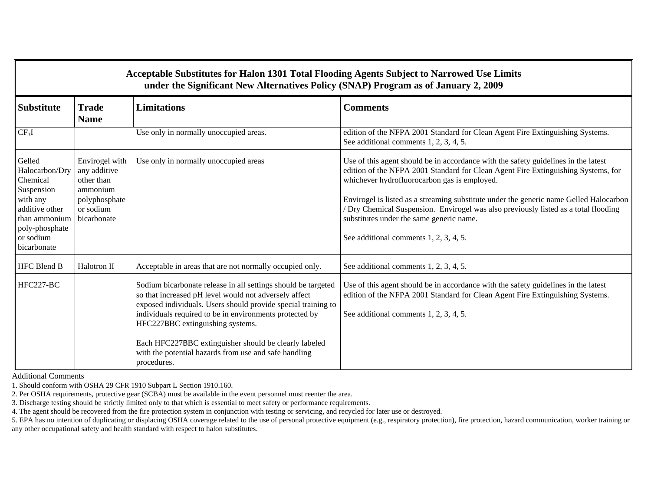| Acceptable Substitutes for Halon 1301 Total Flooding Agents Subject to Narrowed Use Limits<br>under the Significant New Alternatives Policy (SNAP) Program as of January 2, 2009 |                                                                                                       |                                                                                                                                                                                                                                                                                                                                                                                                                         |                                                                                                                                                                                                                                                                                                                                                                                                                                                                                                |  |  |  |  |
|----------------------------------------------------------------------------------------------------------------------------------------------------------------------------------|-------------------------------------------------------------------------------------------------------|-------------------------------------------------------------------------------------------------------------------------------------------------------------------------------------------------------------------------------------------------------------------------------------------------------------------------------------------------------------------------------------------------------------------------|------------------------------------------------------------------------------------------------------------------------------------------------------------------------------------------------------------------------------------------------------------------------------------------------------------------------------------------------------------------------------------------------------------------------------------------------------------------------------------------------|--|--|--|--|
| <b>Substitute</b>                                                                                                                                                                | <b>Trade</b><br><b>Name</b>                                                                           | <b>Limitations</b>                                                                                                                                                                                                                                                                                                                                                                                                      | <b>Comments</b>                                                                                                                                                                                                                                                                                                                                                                                                                                                                                |  |  |  |  |
| CF <sub>3</sub> I                                                                                                                                                                |                                                                                                       | Use only in normally unoccupied areas.                                                                                                                                                                                                                                                                                                                                                                                  | edition of the NFPA 2001 Standard for Clean Agent Fire Extinguishing Systems.<br>See additional comments 1, 2, 3, 4, 5.                                                                                                                                                                                                                                                                                                                                                                        |  |  |  |  |
| Gelled<br>Halocarbon/Dry<br>Chemical<br>Suspension<br>with any<br>additive other<br>than ammonium<br>poly-phosphate<br>or sodium<br>bicarbonate                                  | Envirogel with<br>any additive<br>other than<br>ammonium<br>polyphosphate<br>or sodium<br>bicarbonate | Use only in normally unoccupied areas                                                                                                                                                                                                                                                                                                                                                                                   | Use of this agent should be in accordance with the safety guidelines in the latest<br>edition of the NFPA 2001 Standard for Clean Agent Fire Extinguishing Systems, for<br>whichever hydrofluorocarbon gas is employed.<br>Envirogel is listed as a streaming substitute under the generic name Gelled Halocarbon<br>/ Dry Chemical Suspension. Envirogel was also previously listed as a total flooding<br>substitutes under the same generic name.<br>See additional comments 1, 2, 3, 4, 5. |  |  |  |  |
| <b>HFC Blend B</b>                                                                                                                                                               | Halotron II                                                                                           | Acceptable in areas that are not normally occupied only.                                                                                                                                                                                                                                                                                                                                                                | See additional comments 1, 2, 3, 4, 5.                                                                                                                                                                                                                                                                                                                                                                                                                                                         |  |  |  |  |
| HFC227-BC                                                                                                                                                                        |                                                                                                       | Sodium bicarbonate release in all settings should be targeted<br>so that increased pH level would not adversely affect<br>exposed individuals. Users should provide special training to<br>individuals required to be in environments protected by<br>HFC227BBC extinguishing systems.<br>Each HFC227BBC extinguisher should be clearly labeled<br>with the potential hazards from use and safe handling<br>procedures. | Use of this agent should be in accordance with the safety guidelines in the latest<br>edition of the NFPA 2001 Standard for Clean Agent Fire Extinguishing Systems.<br>See additional comments 1, 2, 3, 4, 5.                                                                                                                                                                                                                                                                                  |  |  |  |  |

Additional Comments

1. Should conform with OSHA 29 CFR 1910 Subpart L Section 1910.160.

2. Per OSHA requirements, protective gear (SCBA) must be available in the event personnel must reenter the area.

3. Discharge testing should be strictly limited only to that which is essential to meet safety or performance requirements.

4. The agent should be recovered from the fire protection system in conjunction with testing or servicing, and recycled for later use or destroyed.

5. EPA has no intention of duplicating or displacing OSHA coverage related to the use of personal protective equipment (e.g., respiratory protection), fire protection, hazard communication, worker training or any other occupational safety and health standard with respect to halon substitutes.